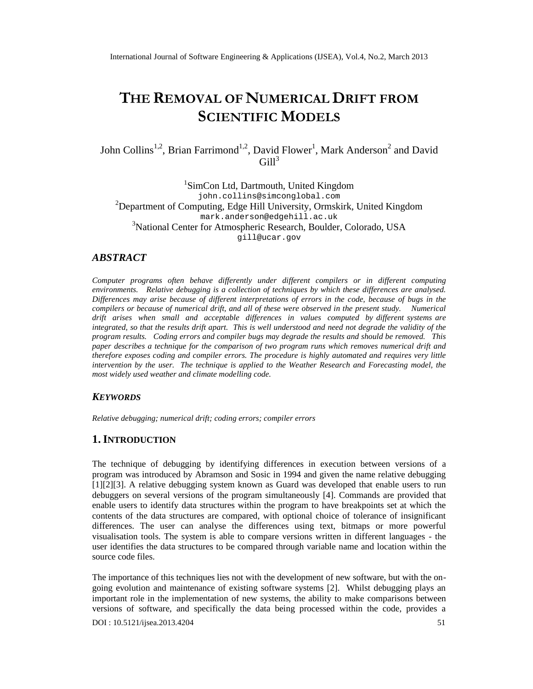# THEREMOVAL **NUMERICARIFT FROM** SCIENTIF**MODELS**

John Collins<sup>12</sup>, Brian Farrimond<sup>2</sup>, David Flowet, Mark Andersonand David  $Gill<sup>3</sup>$ 

<sup>1</sup>SimCon Ltd, Dartmouth, United Kingdom john.c[ollins@simconglobal.com](mailto:collins@simconglobal.com) <sup>2</sup>Depatment of Computing, Edge Hill University, Ormskirk, United Kingdom mark.[anderson@edgehill.ac.uk](mailto:anderson@edgehill.ac) <sup>3</sup>National Center for Atmospheric Research, Boulder, Colorado, USA gill@ [ucar.gov](mailto:gill@ucar.gov)

# ABSTRACT

Computer programs often behave differently under different compilers or in different computing environments. Relative debugging is a collection of techniques by which these differences are analysed. Differences may arise because different interpretations of errors in the code, because of bugs in the compilers or because of numerical drift, and all of these were observed in the present study. Numerical drift arises when small and acceptable differences in values comm hout different systems are integrated, so that the results drift apart. This is well understood and need not degrade the validity of the program results. Coding errors and compiler bugs may degrade the results and should be removed. This paper desabes a technique for the comparison of two program runs which removes numerical drift and therefore exposes coding and compiler errors. The procedure is highly automated and requires very little intervention by the user. The technique is applied to that We Research and Forecasting model, the most widely used weather and climate modelling code.

#### **KEYWORDS**

Relative debugging; numerical drift; coding errors; compiler errors

## 1.I NTRODUCTION

The technique of debugging by identifying differences in execubetween versions of a program was introduced by Abramson and Sosic in 1994 and given the name relative debugging [1][2][3]. A relative debugging system known as Guard was developed that enable users to run debuggers on several versions of the programultaneously [4]. Commands are provided that enable users to identify data structures within the program to have breakpoints set at which the contents of the data structures are compared, with optional choice of tolerance of insignificant differences. Theuser can analyse the differences using text, bitmaps or more powerful visualisation tools. The system is able to compare versions written in different languages user identifies the data structures to be compared through variable name and loch the wi source code files.

The importance of this techniques lies not with the development of new software, but with the on going evolution and maintenance of existing software systems [2]. Whilst debugging plays an important role in the implementation new systems, the ability to make comparisons between versions of software, and specifically the data being processed within the code, provides a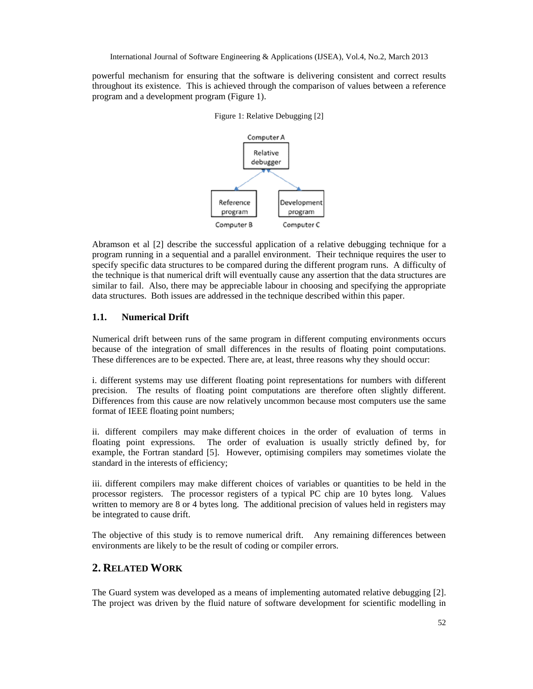powerful mechanism for ensuring that the software is delivering consistent and correct results throughout its existence. This is achieved through the comparison of values between a reference program and a development program (Figure 1).





Abramson et al [2] describe the successful application of a relative debugging technique for a program running in a sequential and a parallel environment. Their technique requires the user to specify specific data structures to be compared during the different program runs. A difficulty of the technique is that numerical drift will eventually cause any assertion that the data structures are similar to fail. Also, there may be appreciable labour in choosing and specifying the appropriate data structures. Both issues are addressed in the technique described within this paper.

#### **1.1. Numerical Drift**

Numerical drift between runs of the same program in different computing environments occurs because of the integration of small differences in the results of floating point computations. These differences are to be expected. There are, at least, three reasons why they should occur:

i. different systems may use different floating point representations for numbers with different precision. The results of floating point computations are therefore often slightly different. Differences from this cause are now relatively uncommon because most computers use the same format of IEEE floating point numbers;

ii. different compilers may make different choices in the order of evaluation of terms in floating point expressions. The order of evaluation is usually strictly defined by, for example, the Fortran standard [5]. However, optimising compilers may sometimes violate the standard in the interests of efficiency;

iii. different compilers may make different choices of variables or quantities to be held in the processor registers. The processor registers of a typical PC chip are 10 bytes long. Values written to memory are 8 or 4 bytes long. The additional precision of values held in registers may be integrated to cause drift.

The objective of this study is to remove numerical drift. Any remaining differences between environments are likely to be the result of coding or compiler errors.

## **2. RELATED WORK**

The Guard system was developed as a means of implementing automated relative debugging [2]. The project was driven by the fluid nature of software development for scientific modelling in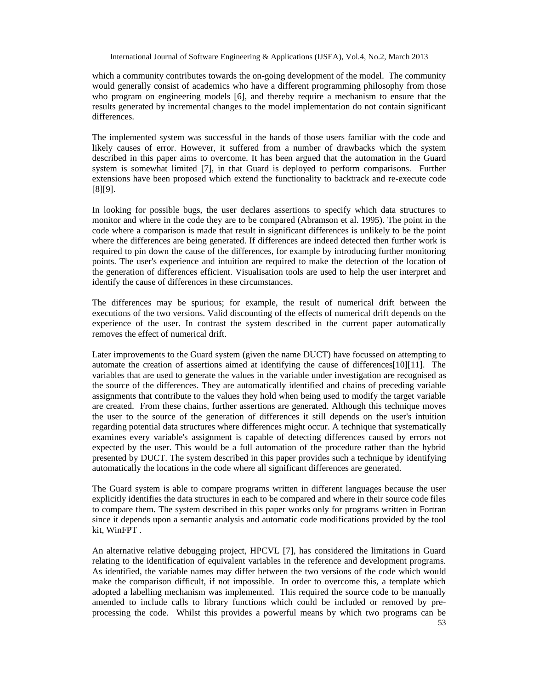which a community contributes towards the on-going development of the model. The community would generally consist of academics who have a different programming philosophy from those who program on engineering models [6], and thereby require a mechanism to ensure that the results generated by incremental changes to the model implementation do not contain significant differences.

The implemented system was successful in the hands of those users familiar with the code and likely causes of error. However, it suffered from a number of drawbacks which the system described in this paper aims to overcome. It has been argued that the automation in the Guard system is somewhat limited [7], in that Guard is deployed to perform comparisons. Further extensions have been proposed which extend the functionality to backtrack and re-execute code [8][9].

In looking for possible bugs, the user declares assertions to specify which data structures to monitor and where in the code they are to be compared (Abramson et al. 1995). The point in the code where a comparison is made that result in significant differences is unlikely to be the point where the differences are being generated. If differences are indeed detected then further work is required to pin down the cause of the differences, for example by introducing further monitoring points. The user's experience and intuition are required to make the detection of the location of the generation of differences efficient. Visualisation tools are used to help the user interpret and identify the cause of differences in these circumstances.

The differences may be spurious; for example, the result of numerical drift between the executions of the two versions. Valid discounting of the effects of numerical drift depends on the experience of the user. In contrast the system described in the current paper automatically removes the effect of numerical drift.

Later improvements to the Guard system (given the name DUCT) have focussed on attempting to automate the creation of assertions aimed at identifying the cause of differences[10][11]. The variables that are used to generate the values in the variable under investigation are recognised as the source of the differences. They are automatically identified and chains of preceding variable assignments that contribute to the values they hold when being used to modify the target variable are created. From these chains, further assertions are generated. Although this technique moves the user to the source of the generation of differences it still depends on the user's intuition regarding potential data structures where differences might occur. A technique that systematically examines every variable's assignment is capable of detecting differences caused by errors not expected by the user. This would be a full automation of the procedure rather than the hybrid presented by DUCT. The system described in this paper provides such a technique by identifying automatically the locations in the code where all significant differences are generated.

The Guard system is able to compare programs written in different languages because the user explicitly identifies the data structures in each to be compared and where in their source code files to compare them. The system described in this paper works only for programs written in Fortran since it depends upon a semantic analysis and automatic code modifications provided by the tool kit, WinFPT .

An alternative relative debugging project, HPCVL [7], has considered the limitations in Guard relating to the identification of equivalent variables in the reference and development programs. As identified, the variable names may differ between the two versions of the code which would make the comparison difficult, if not impossible. In order to overcome this, a template which adopted a labelling mechanism was implemented. This required the source code to be manually amended to include calls to library functions which could be included or removed by preprocessing the code. Whilst this provides a powerful means by which two programs can be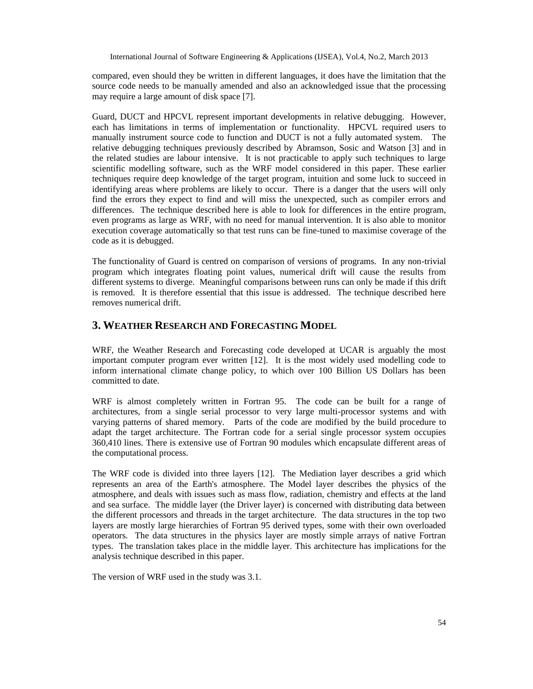compared, even should they be written in different languages, it does have the limitation that the source code needs to be manually amended and also an acknowledged issue that the processing may require a large amount of disk space [7].

Guard, DUCT and HPCVL represent important developments in relative debugging. However, each has limitations in terms of implementation or functionality. HPCVL required users to manually instrument source code to function and DUCT is not a fully automated system. The relative debugging techniques previously described by Abramson, Sosic and Watson [3] and in the related studies are labour intensive. It is not practicable to apply such techniques to large scientific modelling software, such as the WRF model considered in this paper. These earlier techniques require deep knowledge of the target program, intuition and some luck to succeed in identifying areas where problems are likely to occur. There is a danger that the users will only find the errors they expect to find and will miss the unexpected, such as compiler errors and differences. The technique described here is able to look for differences in the entire program, even programs as large as WRF, with no need for manual intervention. It is also able to monitor execution coverage automatically so that test runs can be fine-tuned to maximise coverage of the code as it is debugged.

The functionality of Guard is centred on comparison of versions of programs. In any non-trivial program which integrates floating point values, numerical drift will cause the results from different systems to diverge. Meaningful comparisons between runs can only be made if this drift is removed. It is therefore essential that this issue is addressed. The technique described here removes numerical drift.

# **3. WEATHER RESEARCH AND FORECASTING MODEL**

WRF, the Weather Research and Forecasting code developed at UCAR is arguably the most important computer program ever written [12]. It is the most widely used modelling code to inform international climate change policy, to which over 100 Billion US Dollars has been committed to date.

WRF is almost completely written in Fortran 95. The code can be built for a range of architectures, from a single serial processor to very large multi-processor systems and with varying patterns of shared memory. Parts of the code are modified by the build procedure to adapt the target architecture. The Fortran code for a serial single processor system occupies 360,410 lines. There is extensive use of Fortran 90 modules which encapsulate different areas of the computational process.

The WRF code is divided into three layers [12]. The Mediation layer describes a grid which represents an area of the Earth's atmosphere. The Model layer describes the physics of the atmosphere, and deals with issues such as mass flow, radiation, chemistry and effects at the land and sea surface. The middle layer (the Driver layer) is concerned with distributing data between the different processors and threads in the target architecture. The data structures in the top two layers are mostly large hierarchies of Fortran 95 derived types, some with their own overloaded operators. The data structures in the physics layer are mostly simple arrays of native Fortran types. The translation takes place in the middle layer. This architecture has implications for the analysis technique described in this paper.

The version of WRF used in the study was 3.1.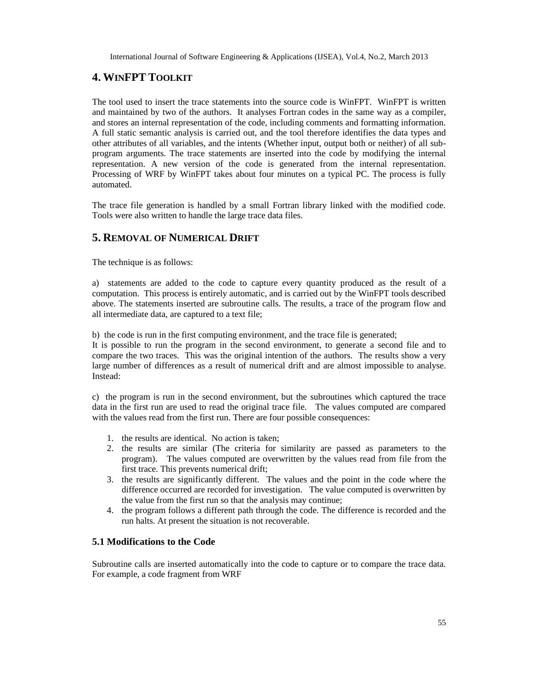# **4. WINFPT TOOLKIT**

The tool used to insert the trace statements into the source code is WinFPT. WinFPT is written and maintained by two of the authors. It analyses Fortran codes in the same way as a compiler, and stores an internal representation of the code, including comments and formatting information. A full static semantic analysis is carried out, and the tool therefore identifies the data types and other attributes of all variables, and the intents (Whether input, output both or neither) of all subprogram arguments. The trace statements are inserted into the code by modifying the internal representation. A new version of the code is generated from the internal representation. Processing of WRF by WinFPT takes about four minutes on a typical PC. The process is fully automated.

The trace file generation is handled by a small Fortran library linked with the modified code. Tools were also written to handle the large trace data files.

# **5. REMOVAL OF NUMERICAL DRIFT**

The technique is as follows:

a) statements are added to the code to capture every quantity produced as the result of a computation. This process is entirely automatic, and is carried out by the WinFPT tools described above. The statements inserted are subroutine calls. The results, a trace of the program flow and all intermediate data, are captured to a text file;

b) the code is run in the first computing environment, and the trace file is generated;

It is possible to run the program in the second environment, to generate a second file and to compare the two traces. This was the original intention of the authors. The results show a very large number of differences as a result of numerical drift and are almost impossible to analyse. Instead:

c) the program is run in the second environment, but the subroutines which captured the trace data in the first run are used to read the original trace file. The values computed are compared with the values read from the first run. There are four possible consequences:

- 1. the results are identical. No action is taken;
- 2. the results are similar (The criteria for similarity are passed as parameters to the program). The values computed are overwritten by the values read from file from the first trace. This prevents numerical drift;
- 3. the results are significantly different. The values and the point in the code where the difference occurred are recorded for investigation. The value computed is overwritten by the value from the first run so that the analysis may continue;
- 4. the program follows a different path through the code. The difference is recorded and the run halts. At present the situation is not recoverable.

## **5.1 Modifications to the Code**

Subroutine calls are inserted automatically into the code to capture or to compare the trace data. For example, a code fragment from WRF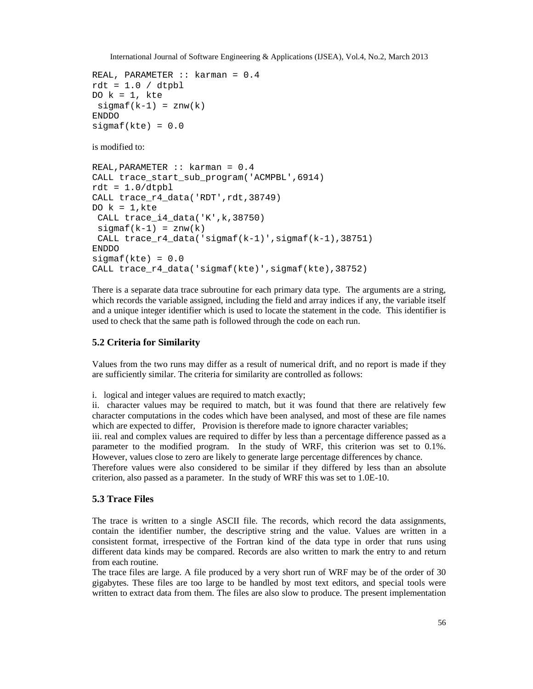```
REAL, PARAMETER :: karman = 0.4
rdt = 1.0 / dtpbl
DO k = 1, kte
 signal(k-1) = znw(k)ENDDO
signaf(kte) = 0.0is modified to:
REAL,PARAMETER :: karman = 0.4
CALL trace_start_sub_program('ACMPBL',6914)
rdt = 1.0/dtpb1CALL trace_r4_data('RDT',rdt,38749)
DO k = 1, kte
 CALL trace_i4_data('K',k,38750)
 signaf(k-1) = znw(k)CALL trace_r4_data('sigmaf(k-1)',sigmaf(k-1),38751)
ENDDO
```
 $signal(kte) = 0.0$ CALL trace\_r4\_data('sigmaf(kte)',sigmaf(kte),38752)

There is a separate data trace subroutine for each primary data type. The arguments are a string, which records the variable assigned, including the field and array indices if any, the variable itself and a unique integer identifier which is used to locate the statement in the code. This identifier is used to check that the same path is followed through the code on each run.

#### **5.2 Criteria for Similarity**

Values from the two runs may differ as a result of numerical drift, and no report is made if they are sufficiently similar. The criteria for similarity are controlled as follows:

i. logical and integer values are required to match exactly;

ii. character values may be required to match, but it was found that there are relatively few character computations in the codes which have been analysed, and most of these are file names which are expected to differ, Provision is therefore made to ignore character variables;

iii. real and complex values are required to differ by less than a percentage difference passed as a parameter to the modified program. In the study of WRF, this criterion was set to 0.1%. However, values close to zero are likely to generate large percentage differences by chance.

Therefore values were also considered to be similar if they differed by less than an absolute criterion, also passed as a parameter. In the study of WRF this was set to 1.0E-10.

## **5.3 Trace Files**

The trace is written to a single ASCII file. The records, which record the data assignments, contain the identifier number, the descriptive string and the value. Values are written in a consistent format, irrespective of the Fortran kind of the data type in order that runs using different data kinds may be compared. Records are also written to mark the entry to and return from each routine.

The trace files are large. A file produced by a very short run of WRF may be of the order of 30 gigabytes. These files are too large to be handled by most text editors, and special tools were written to extract data from them. The files are also slow to produce. The present implementation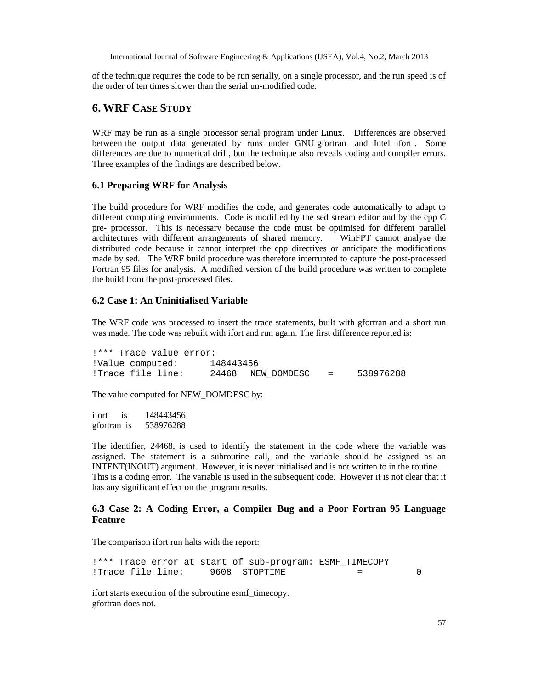of the technique requires the code to be run serially, on a single processor, and the run speed is of the order of ten times slower than the serial un-modified code.

## **6. WRF CASE STUDY**

WRF may be run as a single processor serial program under Linux. Differences are observed between the output data generated by runs under GNU gfortran and Intel ifort . Some differences are due to numerical drift, but the technique also reveals coding and compiler errors. Three examples of the findings are described below.

#### **6.1 Preparing WRF for Analysis**

The build procedure for WRF modifies the code, and generates code automatically to adapt to different computing environments. Code is modified by the sed stream editor and by the cpp C pre- processor. This is necessary because the code must be optimised for different parallel architectures with different arrangements of shared memory. WinFPT cannot analyse the distributed code because it cannot interpret the cpp directives or anticipate the modifications made by sed. The WRF build procedure was therefore interrupted to capture the post-processed Fortran 95 files for analysis. A modified version of the build procedure was written to complete the build from the post-processed files.

#### **6.2 Case 1: An Uninitialised Variable**

The WRF code was processed to insert the trace statements, built with gfortran and a short run was made. The code was rebuilt with ifort and run again. The first difference reported is:

!\*\*\* Trace value error: !Value computed: 148443456 !Trace file line: 24468 NEW\_DOMDESC = 538976288

The value computed for NEW\_DOMDESC by:

ifort is 148443456 gfortran is 538976288

The identifier, 24468, is used to identify the statement in the code where the variable was assigned. The statement is a subroutine call, and the variable should be assigned as an INTENT(INOUT) argument. However, it is never initialised and is not written to in the routine. This is a coding error. The variable is used in the subsequent code. However it is not clear that it has any significant effect on the program results.

#### **6.3 Case 2: A Coding Error, a Compiler Bug and a Poor Fortran 95 Language Feature**

The comparison ifort run halts with the report:

```
!*** Trace error at start of sub-program: ESMF_TIMECOPY
!Trace file line: 9608 STOPTIME = 0
```
ifort starts execution of the subroutine esmf\_timecopy. gfortran does not.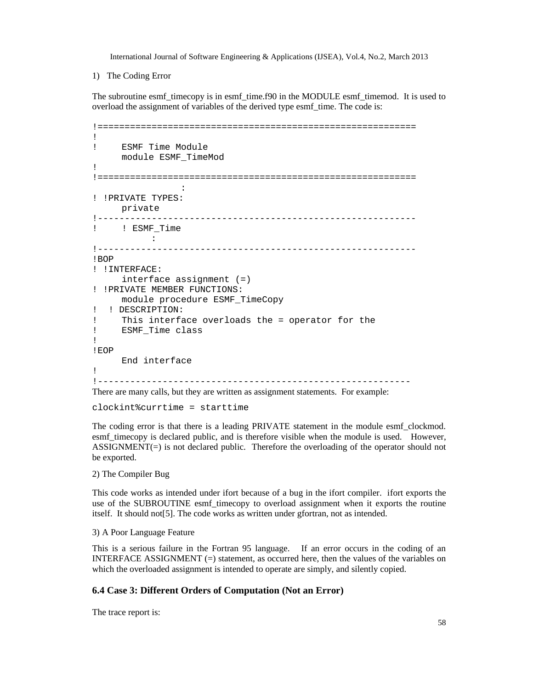1) The Coding Error

The subroutine esmf timecopy is in esmf time.f90 in the MODULE esmf timemod. It is used to overload the assignment of variables of the derived type esmf\_time. The code is:

```
!===========================================================
!
! ESMF Time Module
     module ESMF_TimeMod
!
!===========================================================
               \cdot:
! !PRIVATE TYPES:
    private
!-----------------------------------------------------------
! ! ESMF_Time
          \cdot:
!-----------------------------------------------------------
!BOP
! !INTERFACE:
     interface assignment (=)
! !PRIVATE MEMBER FUNCTIONS:
    module procedure ESMF_TimeCopy
! ! DESCRIPTION:
! This interface overloads the = operator for the
! ESMF_Time class
!
!EOP
     End interface
!
!----------------------------------------------------------
```
There are many calls, but they are written as assignment statements. For example:

clockint%currtime = starttime

The coding error is that there is a leading PRIVATE statement in the module esmf\_clockmod. esmf\_timecopy is declared public, and is therefore visible when the module is used. However, ASSIGNMENT(=) is not declared public. Therefore the overloading of the operator should not be exported.

2) The Compiler Bug

This code works as intended under ifort because of a bug in the ifort compiler. ifort exports the use of the SUBROUTINE esmf timecopy to overload assignment when it exports the routine itself. It should not[5]. The code works as written under gfortran, not as intended.

3) A Poor Language Feature

This is a serious failure in the Fortran 95 language. If an error occurs in the coding of an INTERFACE ASSIGNMENT (=) statement, as occurred here, then the values of the variables on which the overloaded assignment is intended to operate are simply, and silently copied.

#### **6.4 Case 3: Different Orders of Computation (Not an Error)**

The trace report is: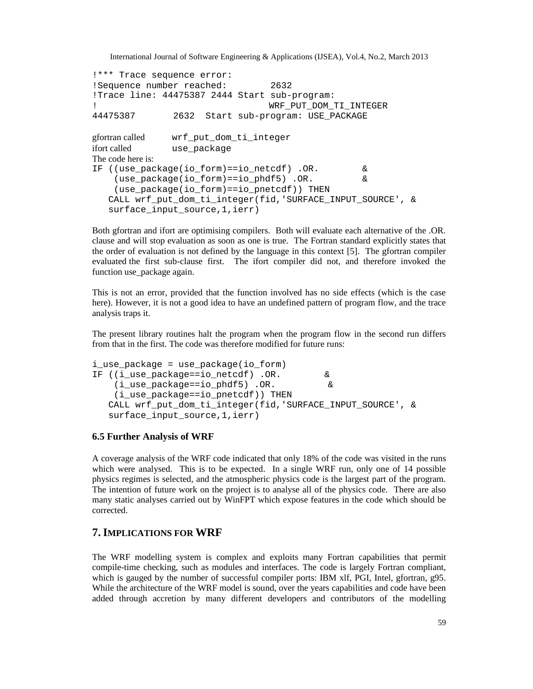```
!*** Trace sequence error:
!Sequence number reached: 2632
!Trace line: 44475387 2444 Start sub-program:
! WRF_PUT_DOM_TI_INTEGER
44475387 2632 Start sub-program: USE_PACKAGE
gfortran called wrf_put_dom_ti_integer
ifort called use_package
The code here is:
IF ((use package(io form)==io netcdf) .OR. \&(use package(io form)==io phdf5) .OR. \&(use_package(io_form)==io_pnetcdf)) THEN
  CALL wrf put dom ti integer(fid, SURFACE INPUT SOURCE', &
  surface_input_source, 1, ierr)
```
Both gfortran and ifort are optimising compilers. Both will evaluate each alternative of the .OR. clause and will stop evaluation as soon as one is true. The Fortran standard explicitly states that the order of evaluation is not defined by the language in this context [5]. The gfortran compiler evaluated the first sub-clause first. The ifort compiler did not, and therefore invoked the function use\_package again.

This is not an error, provided that the function involved has no side effects (which is the case here). However, it is not a good idea to have an undefined pattern of program flow, and the trace analysis traps it.

The present library routines halt the program when the program flow in the second run differs from that in the first. The code was therefore modified for future runs:

```
i use package = use package(io form)
IF ((i use package==io netcdf) .OR. \&(i use package==io phdf5) .OR. \&(i_use_package==io_pnetcdf)) THEN
  CALL wrf_put_dom_ti_integer(fid,'SURFACE_INPUT_SOURCE', &
  surface_input_source,1,ierr)
```
#### **6.5 Further Analysis of WRF**

A coverage analysis of the WRF code indicated that only 18% of the code was visited in the runs which were analysed. This is to be expected. In a single WRF run, only one of 14 possible physics regimes is selected, and the atmospheric physics code is the largest part of the program. The intention of future work on the project is to analyse all of the physics code. There are also many static analyses carried out by WinFPT which expose features in the code which should be corrected.

# **7. IMPLICATIONS FOR WRF**

The WRF modelling system is complex and exploits many Fortran capabilities that permit compile-time checking, such as modules and interfaces. The code is largely Fortran compliant, which is gauged by the number of successful compiler ports: IBM xlf, PGI, Intel, gfortran, g95. While the architecture of the WRF model is sound, over the years capabilities and code have been added through accretion by many different developers and contributors of the modelling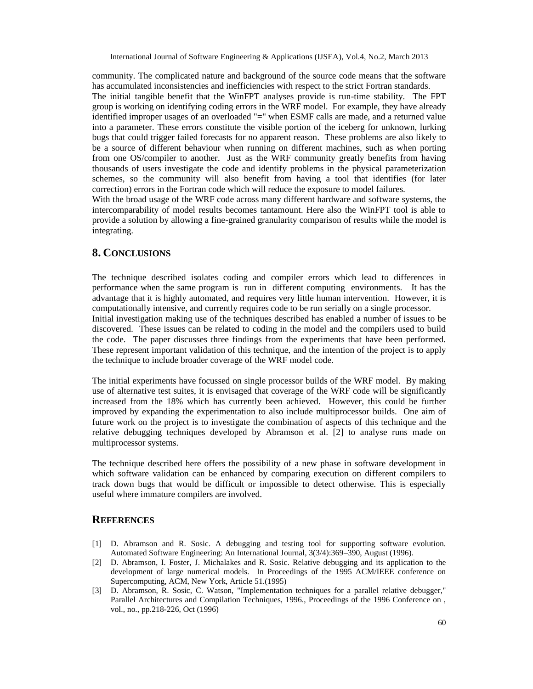community. The complicated nature and background of the source code means that the software has accumulated inconsistencies and inefficiencies with respect to the strict Fortran standards. The initial tangible benefit that the WinFPT analyses provide is run-time stability. The FPT group is working on identifying coding errors in the WRF model. For example, they have already identified improper usages of an overloaded "=" when ESMF calls are made, and a returned value into a parameter. These errors constitute the visible portion of the iceberg for unknown, lurking bugs that could trigger failed forecasts for no apparent reason. These problems are also likely to be a source of different behaviour when running on different machines, such as when porting from one OS/compiler to another. Just as the WRF community greatly benefits from having thousands of users investigate the code and identify problems in the physical parameterization schemes, so the community will also benefit from having a tool that identifies (for later correction) errors in the Fortran code which will reduce the exposure to model failures.

With the broad usage of the WRF code across many different hardware and software systems, the intercomparability of model results becomes tantamount. Here also the WinFPT tool is able to provide a solution by allowing a fine-grained granularity comparison of results while the model is integrating.

## **8. CONCLUSIONS**

The technique described isolates coding and compiler errors which lead to differences in performance when the same program is run in different computing environments. It has the advantage that it is highly automated, and requires very little human intervention. However, it is computationally intensive, and currently requires code to be run serially on a single processor. Initial investigation making use of the techniques described has enabled a number of issues to be discovered. These issues can be related to coding in the model and the compilers used to build the code. The paper discusses three findings from the experiments that have been performed. These represent important validation of this technique, and the intention of the project is to apply the technique to include broader coverage of the WRF model code.

The initial experiments have focussed on single processor builds of the WRF model. By making use of alternative test suites, it is envisaged that coverage of the WRF code will be significantly increased from the 18% which has currently been achieved. However, this could be further improved by expanding the experimentation to also include multiprocessor builds. One aim of future work on the project is to investigate the combination of aspects of this technique and the relative debugging techniques developed by Abramson et al. [2] to analyse runs made on multiprocessor systems.

The technique described here offers the possibility of a new phase in software development in which software validation can be enhanced by comparing execution on different compilers to track down bugs that would be difficult or impossible to detect otherwise. This is especially useful where immature compilers are involved.

#### **REFERENCES**

- [1] D. Abramson and R. Sosic. A debugging and testing tool for supporting software evolution. Automated Software Engineering: An International Journal, 3(3/4):369–390, August (1996).
- [2] D. Abramson, I. Foster, J. Michalakes and R. Sosic. Relative debugging and its application to the development of large numerical models. In Proceedings of the 1995 ACM/IEEE conference on Supercomputing, ACM, New York, Article 51.(1995)
- [3] D. Abramson, R. Sosic, C. Watson, "Implementation techniques for a parallel relative debugger," Parallel Architectures and Compilation Techniques, 1996., Proceedings of the 1996 Conference on , vol., no., pp.218-226, Oct (1996)